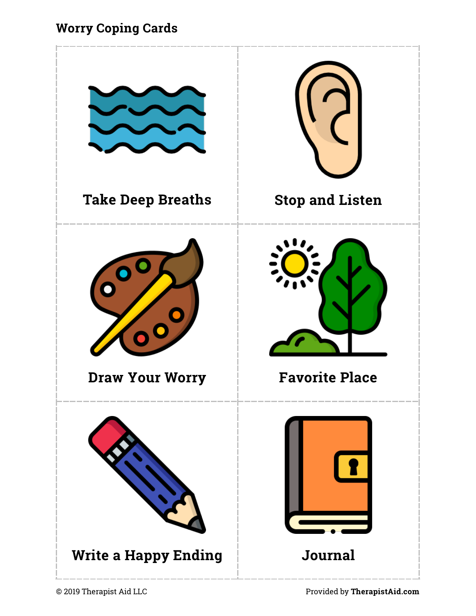#### **Worry Coping Cards**

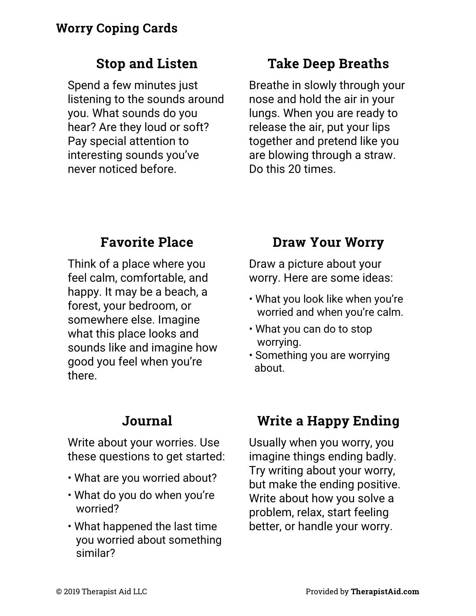#### **Stop and Listen**

Spend a few minutes just listening to the sounds around you. What sounds do you hear? Are they loud or soft? Pay special attention to interesting sounds you've never noticed before.

### **Take Deep Breaths**

Breathe in slowly through your nose and hold the air in your lungs. When you are ready to release the air, put your lips together and pretend like you are blowing through a straw. Do this 20 times.

### **Favorite Place**

Think of a place where you feel calm, comfortable, and happy. It may be a beach, a forest, your bedroom, or somewhere else. Imagine what this place looks and sounds like and imagine how good you feel when you're there.

### **Journal**

Write about your worries. Use these questions to get started:

- What are you worried about?
- What do you do when you're worried?
- What happened the last time you worried about something similar?

# **Draw Your Worry**

Draw a picture about your worry. Here are some ideas:

- What you look like when you're worried and when you're calm.
- What you can do to stop worrying.
- Something you are worrying about.

# **Write a Happy Ending**

Usually when you worry, you imagine things ending badly. Try writing about your worry, but make the ending positive. Write about how you solve a problem, relax, start feeling better, or handle your worry.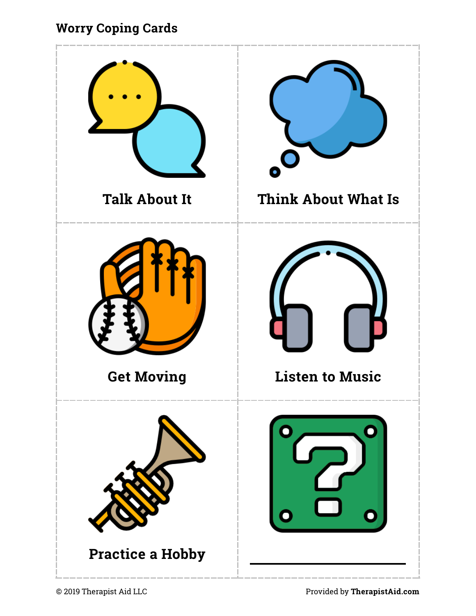### **Worry Coping Cards**